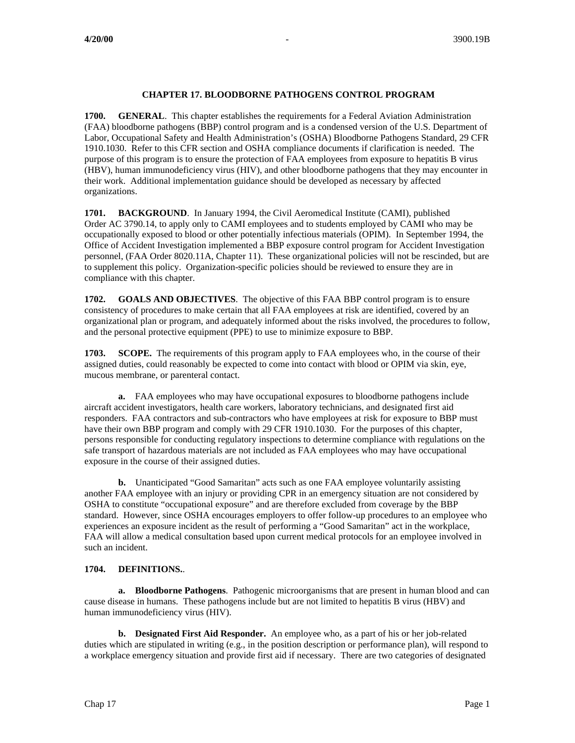## **CHAPTER 17. BLOODBORNE PATHOGENS CONTROL PROGRAM**

**1700. GENERAL**. This chapter establishes the requirements for a Federal Aviation Administration (FAA) bloodborne pathogens (BBP) control program and is a condensed version of the U.S. Department of Labor, Occupational Safety and Health Administration's (OSHA) Bloodborne Pathogens Standard, 29 CFR 1910.1030. Refer to this CFR section and OSHA compliance documents if clarification is needed. The purpose of this program is to ensure the protection of FAA employees from exposure to hepatitis B virus (HBV), human immunodeficiency virus (HIV), and other bloodborne pathogens that they may encounter in their work. Additional implementation guidance should be developed as necessary by affected organizations.

**1701. BACKGROUND**. In January 1994, the Civil Aeromedical Institute (CAMI), published Order AC 3790.14, to apply only to CAMI employees and to students employed by CAMI who may be occupationally exposed to blood or other potentially infectious materials (OPIM). In September 1994, the Office of Accident Investigation implemented a BBP exposure control program for Accident Investigation personnel, (FAA Order 8020.11A, Chapter 11). These organizational policies will not be rescinded, but are to supplement this policy. Organization-specific policies should be reviewed to ensure they are in compliance with this chapter.

**1702. GOALS AND OBJECTIVES**. The objective of this FAA BBP control program is to ensure consistency of procedures to make certain that all FAA employees at risk are identified, covered by an organizational plan or program, and adequately informed about the risks involved, the procedures to follow, and the personal protective equipment (PPE) to use to minimize exposure to BBP.

**1703. SCOPE.** The requirements of this program apply to FAA employees who, in the course of their assigned duties, could reasonably be expected to come into contact with blood or OPIM via skin, eye, mucous membrane, or parenteral contact.

**a.** FAA employees who may have occupational exposures to bloodborne pathogens include aircraft accident investigators, health care workers, laboratory technicians, and designated first aid responders. FAA contractors and sub-contractors who have employees at risk for exposure to BBP must have their own BBP program and comply with 29 CFR 1910.1030. For the purposes of this chapter, persons responsible for conducting regulatory inspections to determine compliance with regulations on the safe transport of hazardous materials are not included as FAA employees who may have occupational exposure in the course of their assigned duties.

**b.** Unanticipated "Good Samaritan" acts such as one FAA employee voluntarily assisting another FAA employee with an injury or providing CPR in an emergency situation are not considered by OSHA to constitute "occupational exposure" and are therefore excluded from coverage by the BBP standard. However, since OSHA encourages employers to offer follow-up procedures to an employee who experiences an exposure incident as the result of performing a "Good Samaritan" act in the workplace, FAA will allow a medical consultation based upon current medical protocols for an employee involved in such an incident.

### **1704. DEFINITIONS.**.

**a. Bloodborne Pathogens**. Pathogenic microorganisms that are present in human blood and can cause disease in humans. These pathogens include but are not limited to hepatitis B virus (HBV) and human immunodeficiency virus (HIV).

**b. Designated First Aid Responder.** An employee who, as a part of his or her job-related duties which are stipulated in writing (e.g., in the position description or performance plan), will respond to a workplace emergency situation and provide first aid if necessary. There are two categories of designated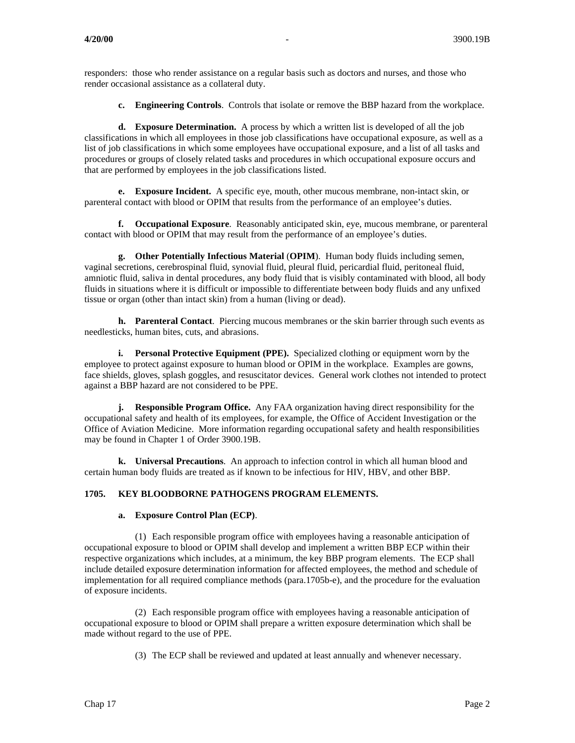responders: those who render assistance on a regular basis such as doctors and nurses, and those who render occasional assistance as a collateral duty.

**c. Engineering Controls**. Controls that isolate or remove the BBP hazard from the workplace.

**d. Exposure Determination.** A process by which a written list is developed of all the job classifications in which all employees in those job classifications have occupational exposure, as well as a list of job classifications in which some employees have occupational exposure, and a list of all tasks and procedures or groups of closely related tasks and procedures in which occupational exposure occurs and that are performed by employees in the job classifications listed.

**e. Exposure Incident.** A specific eye, mouth, other mucous membrane, non-intact skin, or parenteral contact with blood or OPIM that results from the performance of an employee's duties.

**f. Occupational Exposure**. Reasonably anticipated skin, eye, mucous membrane, or parenteral contact with blood or OPIM that may result from the performance of an employee's duties.

**g. Other Potentially Infectious Material** (**OPIM**). Human body fluids including semen, vaginal secretions, cerebrospinal fluid, synovial fluid, pleural fluid, pericardial fluid, peritoneal fluid, amniotic fluid, saliva in dental procedures, any body fluid that is visibly contaminated with blood, all body fluids in situations where it is difficult or impossible to differentiate between body fluids and any unfixed tissue or organ (other than intact skin) from a human (living or dead).

**h. Parenteral Contact**. Piercing mucous membranes or the skin barrier through such events as needlesticks, human bites, cuts, and abrasions.

**i. Personal Protective Equipment (PPE).** Specialized clothing or equipment worn by the employee to protect against exposure to human blood or OPIM in the workplace. Examples are gowns, face shields, gloves, splash goggles, and resuscitator devices. General work clothes not intended to protect against a BBP hazard are not considered to be PPE.

**j. Responsible Program Office.** Any FAA organization having direct responsibility for the occupational safety and health of its employees, for example, the Office of Accident Investigation or the Office of Aviation Medicine. More information regarding occupational safety and health responsibilities may be found in Chapter 1 of Order 3900.19B.

**k. Universal Precautions**. An approach to infection control in which all human blood and certain human body fluids are treated as if known to be infectious for HIV, HBV, and other BBP.

# **1705. KEY BLOODBORNE PATHOGENS PROGRAM ELEMENTS.**

### **a. Exposure Control Plan (ECP)**.

(1) Each responsible program office with employees having a reasonable anticipation of occupational exposure to blood or OPIM shall develop and implement a written BBP ECP within their respective organizations which includes, at a minimum, the key BBP program elements. The ECP shall include detailed exposure determination information for affected employees, the method and schedule of implementation for all required compliance methods (para.1705b-e), and the procedure for the evaluation of exposure incidents.

(2) Each responsible program office with employees having a reasonable anticipation of occupational exposure to blood or OPIM shall prepare a written exposure determination which shall be made without regard to the use of PPE.

(3) The ECP shall be reviewed and updated at least annually and whenever necessary.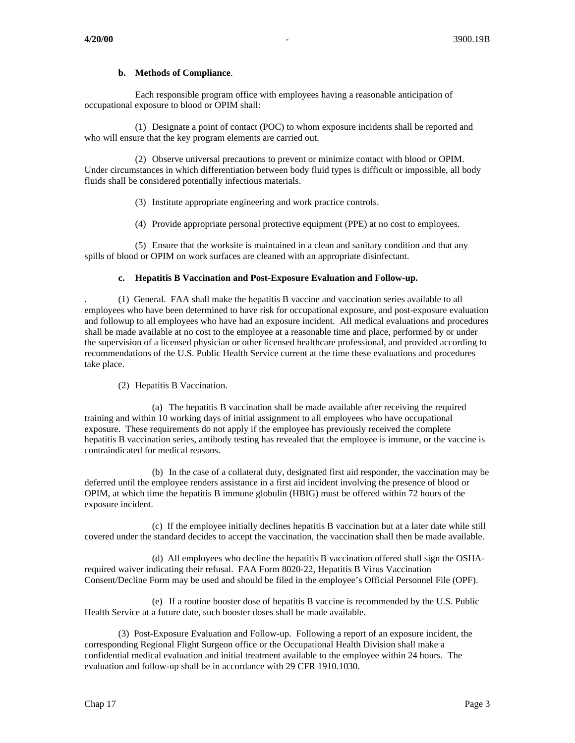### **b. Methods of Compliance**.

Each responsible program office with employees having a reasonable anticipation of occupational exposure to blood or OPIM shall:

(1) Designate a point of contact (POC) to whom exposure incidents shall be reported and who will ensure that the key program elements are carried out.

(2) Observe universal precautions to prevent or minimize contact with blood or OPIM. Under circumstances in which differentiation between body fluid types is difficult or impossible, all body fluids shall be considered potentially infectious materials.

(3) Institute appropriate engineering and work practice controls.

(4) Provide appropriate personal protective equipment (PPE) at no cost to employees.

(5) Ensure that the worksite is maintained in a clean and sanitary condition and that any spills of blood or OPIM on work surfaces are cleaned with an appropriate disinfectant.

### **c. Hepatitis B Vaccination and Post-Exposure Evaluation and Follow-up.**

. (1) General. FAA shall make the hepatitis B vaccine and vaccination series available to all employees who have been determined to have risk for occupational exposure, and post-exposure evaluation and followup to all employees who have had an exposure incident. All medical evaluations and procedures shall be made available at no cost to the employee at a reasonable time and place, performed by or under the supervision of a licensed physician or other licensed healthcare professional, and provided according to recommendations of the U.S. Public Health Service current at the time these evaluations and procedures take place.

### (2) Hepatitis B Vaccination.

(a) The hepatitis B vaccination shall be made available after receiving the required training and within 10 working days of initial assignment to all employees who have occupational exposure. These requirements do not apply if the employee has previously received the complete hepatitis B vaccination series, antibody testing has revealed that the employee is immune, or the vaccine is contraindicated for medical reasons.

(b) In the case of a collateral duty, designated first aid responder, the vaccination may be deferred until the employee renders assistance in a first aid incident involving the presence of blood or OPIM, at which time the hepatitis B immune globulin (HBIG) must be offered within 72 hours of the exposure incident.

(c) If the employee initially declines hepatitis B vaccination but at a later date while still covered under the standard decides to accept the vaccination, the vaccination shall then be made available.

(d) All employees who decline the hepatitis B vaccination offered shall sign the OSHArequired waiver indicating their refusal. FAA Form 8020-22, Hepatitis B Virus Vaccination Consent/Decline Form may be used and should be filed in the employee's Official Personnel File (OPF).

(e) If a routine booster dose of hepatitis B vaccine is recommended by the U.S. Public Health Service at a future date, such booster doses shall be made available.

(3) Post-Exposure Evaluation and Follow-up. Following a report of an exposure incident, the corresponding Regional Flight Surgeon office or the Occupational Health Division shall make a confidential medical evaluation and initial treatment available to the employee within 24 hours. The evaluation and follow-up shall be in accordance with 29 CFR 1910.1030.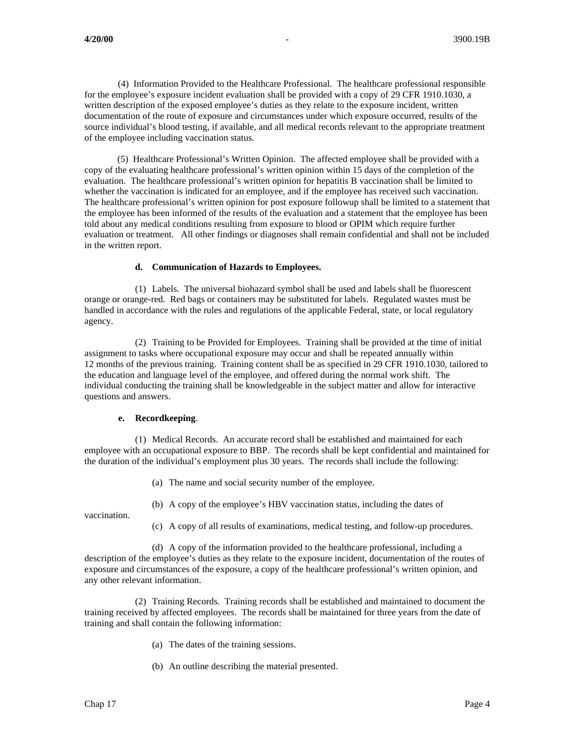(4) Information Provided to the Healthcare Professional. The healthcare professional responsible for the employee's exposure incident evaluation shall be provided with a copy of 29 CFR 1910.1030, a written description of the exposed employee's duties as they relate to the exposure incident, written documentation of the route of exposure and circumstances under which exposure occurred, results of the source individual's blood testing, if available, and all medical records relevant to the appropriate treatment of the employee including vaccination status.

 (5) Healthcare Professional's Written Opinion. The affected employee shall be provided with a copy of the evaluating healthcare professional's written opinion within 15 days of the completion of the evaluation. The healthcare professional's written opinion for hepatitis B vaccination shall be limited to whether the vaccination is indicated for an employee, and if the employee has received such vaccination. The healthcare professional's written opinion for post exposure followup shall be limited to a statement that the employee has been informed of the results of the evaluation and a statement that the employee has been told about any medical conditions resulting from exposure to blood or OPIM which require further evaluation or treatment. All other findings or diagnoses shall remain confidential and shall not be included in the written report.

#### **d. Communication of Hazards to Employees.**

(1) Labels. The universal biohazard symbol shall be used and labels shall be fluorescent orange or orange-red. Red bags or containers may be substituted for labels. Regulated wastes must be handled in accordance with the rules and regulations of the applicable Federal, state, or local regulatory agency.

(2) Training to be Provided for Employees. Training shall be provided at the time of initial assignment to tasks where occupational exposure may occur and shall be repeated annually within 12 months of the previous training. Training content shall be as specified in 29 CFR 1910.1030, tailored to the education and language level of the employee, and offered during the normal work shift. The individual conducting the training shall be knowledgeable in the subject matter and allow for interactive questions and answers.

### **e. Recordkeeping**.

(1) Medical Records. An accurate record shall be established and maintained for each employee with an occupational exposure to BBP. The records shall be kept confidential and maintained for the duration of the individual's employment plus 30 years. The records shall include the following:

- (a) The name and social security number of the employee.
- (b) A copy of the employee's HBV vaccination status, including the dates of

vaccination.

(c) A copy of all results of examinations, medical testing, and follow-up procedures.

(d) A copy of the information provided to the healthcare professional, including a description of the employee's duties as they relate to the exposure incident, documentation of the routes of exposure and circumstances of the exposure, a copy of the healthcare professional's written opinion, and any other relevant information.

(2) Training Records. Training records shall be established and maintained to document the training received by affected employees. The records shall be maintained for three years from the date of training and shall contain the following information:

- (a) The dates of the training sessions.
- (b) An outline describing the material presented.